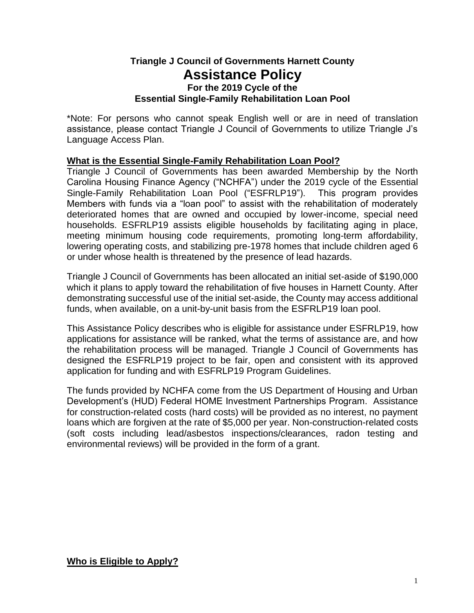# **Triangle J Council of Governments Harnett County Assistance Policy For the 2019 Cycle of the Essential Single-Family Rehabilitation Loan Pool**

\*Note: For persons who cannot speak English well or are in need of translation assistance, please contact Triangle J Council of Governments to utilize Triangle J's Language Access Plan.

### **What is the Essential Single-Family Rehabilitation Loan Pool?**

Triangle J Council of Governments has been awarded Membership by the North Carolina Housing Finance Agency ("NCHFA") under the 2019 cycle of the Essential Single-Family Rehabilitation Loan Pool ("ESFRLP19"). This program provides Members with funds via a "loan pool" to assist with the rehabilitation of moderately deteriorated homes that are owned and occupied by lower-income, special need households. ESFRLP19 assists eligible households by facilitating aging in place, meeting minimum housing code requirements, promoting long-term affordability, lowering operating costs, and stabilizing pre-1978 homes that include children aged 6 or under whose health is threatened by the presence of lead hazards.

Triangle J Council of Governments has been allocated an initial set-aside of \$190,000 which it plans to apply toward the rehabilitation of five houses in Harnett County. After demonstrating successful use of the initial set-aside, the County may access additional funds, when available, on a unit-by-unit basis from the ESFRLP19 loan pool.

This Assistance Policy describes who is eligible for assistance under ESFRLP19, how applications for assistance will be ranked, what the terms of assistance are, and how the rehabilitation process will be managed. Triangle J Council of Governments has designed the ESFRLP19 project to be fair, open and consistent with its approved application for funding and with ESFRLP19 Program Guidelines.

The funds provided by NCHFA come from the US Department of Housing and Urban Development's (HUD) Federal HOME Investment Partnerships Program. Assistance for construction-related costs (hard costs) will be provided as no interest, no payment loans which are forgiven at the rate of \$5,000 per year. Non-construction-related costs (soft costs including lead/asbestos inspections/clearances, radon testing and environmental reviews) will be provided in the form of a grant.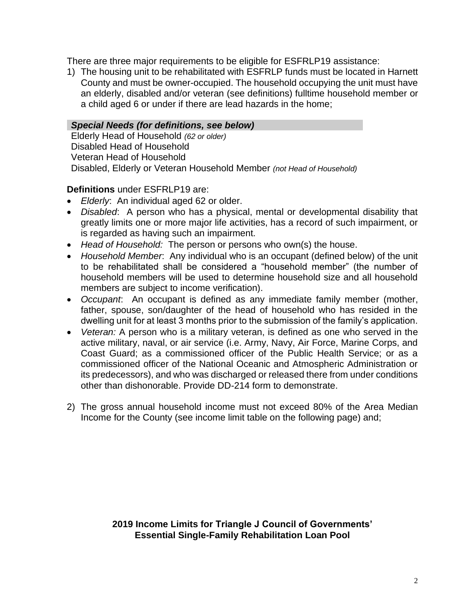There are three major requirements to be eligible for ESFRLP19 assistance:

1) The housing unit to be rehabilitated with ESFRLP funds must be located in Harnett County and must be owner-occupied. The household occupying the unit must have an elderly, disabled and/or veteran (see definitions) fulltime household member or a child aged 6 or under if there are lead hazards in the home;

#### *Special Needs (for definitions, see below)*

Elderly Head of Household *(62 or older)* Disabled Head of Household Veteran Head of Household Disabled, Elderly or Veteran Household Member *(not Head of Household)*

### **Definitions** under ESFRLP19 are:

- *Elderly*: An individual aged 62 or older.
- *Disabled*: A person who has a physical, mental or developmental disability that greatly limits one or more major life activities, has a record of such impairment, or is regarded as having such an impairment.
- *Head of Household:* The person or persons who own(s) the house.
- *Household Member*: Any individual who is an occupant (defined below) of the unit to be rehabilitated shall be considered a "household member" (the number of household members will be used to determine household size and all household members are subject to income verification).
- *Occupant*: An occupant is defined as any immediate family member (mother, father, spouse, son/daughter of the head of household who has resided in the dwelling unit for at least 3 months prior to the submission of the family's application.
- *Veteran:* A person who is a military veteran, is defined as one who served in the active military, naval, or air service (i.e. Army, Navy, Air Force, Marine Corps, and Coast Guard; as a commissioned officer of the Public Health Service; or as a commissioned officer of the National Oceanic and Atmospheric Administration or its predecessors), and who was discharged or released there from under conditions other than dishonorable. Provide DD-214 form to demonstrate.
- 2) The gross annual household income must not exceed 80% of the Area Median Income for the County (see income limit table on the following page) and;

**2019 Income Limits for Triangle J Council of Governments' Essential Single-Family Rehabilitation Loan Pool**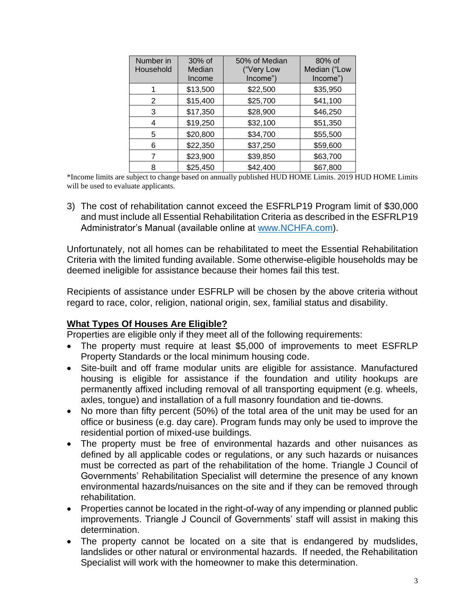| Number in | 30% of   | 50% of Median | 80% of       |
|-----------|----------|---------------|--------------|
| Household | Median   | ("Very Low    | Median ("Low |
|           | Income   | Income")      | Income")     |
|           | \$13,500 | \$22,500      | \$35,950     |
| 2         | \$15,400 | \$25,700      | \$41,100     |
| 3         | \$17,350 | \$28,900      | \$46,250     |
| 4         | \$19,250 | \$32,100      | \$51,350     |
| 5         | \$20,800 | \$34,700      | \$55,500     |
| 6         | \$22,350 | \$37,250      | \$59,600     |
|           | \$23,900 | \$39,850      | \$63,700     |
| 8         | \$25,450 | \$42,400      | \$67,800     |

\*Income limits are subject to change based on annually published HUD HOME Limits. 2019 HUD HOME Limits will be used to evaluate applicants.

3) The cost of rehabilitation cannot exceed the ESFRLP19 Program limit of \$30,000 and must include all Essential Rehabilitation Criteria as described in the ESFRLP19 Administrator's Manual (available online at [www.NCHFA.com\)](http://www.nchfa.com/).

Unfortunately, not all homes can be rehabilitated to meet the Essential Rehabilitation Criteria with the limited funding available. Some otherwise-eligible households may be deemed ineligible for assistance because their homes fail this test.

Recipients of assistance under ESFRLP will be chosen by the above criteria without regard to race, color, religion, national origin, sex, familial status and disability.

## **What Types Of Houses Are Eligible?**

Properties are eligible only if they meet all of the following requirements:

- The property must require at least \$5,000 of improvements to meet ESFRLP Property Standards or the local minimum housing code.
- Site-built and off frame modular units are eligible for assistance. Manufactured housing is eligible for assistance if the foundation and utility hookups are permanently affixed including removal of all transporting equipment (e.g. wheels, axles, tongue) and installation of a full masonry foundation and tie-downs.
- No more than fifty percent (50%) of the total area of the unit may be used for an office or business (e.g. day care). Program funds may only be used to improve the residential portion of mixed-use buildings.
- The property must be free of environmental hazards and other nuisances as defined by all applicable codes or regulations, or any such hazards or nuisances must be corrected as part of the rehabilitation of the home. Triangle J Council of Governments' Rehabilitation Specialist will determine the presence of any known environmental hazards/nuisances on the site and if they can be removed through rehabilitation.
- Properties cannot be located in the right-of-way of any impending or planned public improvements. Triangle J Council of Governments' staff will assist in making this determination.
- The property cannot be located on a site that is endangered by mudslides, landslides or other natural or environmental hazards. If needed, the Rehabilitation Specialist will work with the homeowner to make this determination.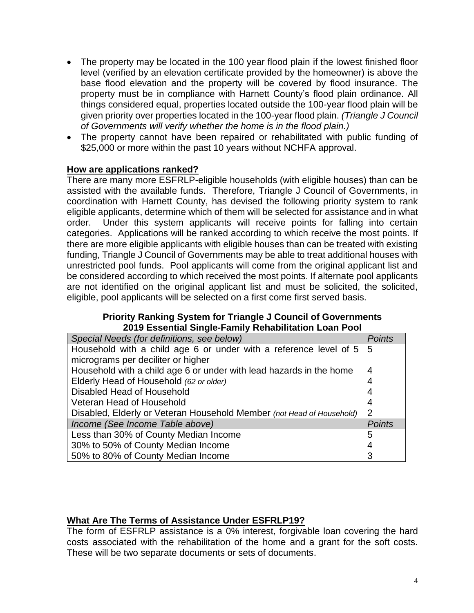- The property may be located in the 100 year flood plain if the lowest finished floor level (verified by an elevation certificate provided by the homeowner) is above the base flood elevation and the property will be covered by flood insurance. The property must be in compliance with Harnett County's flood plain ordinance. All things considered equal, properties located outside the 100-year flood plain will be given priority over properties located in the 100-year flood plain. *(Triangle J Council of Governments will verify whether the home is in the flood plain.)*
- The property cannot have been repaired or rehabilitated with public funding of \$25,000 or more within the past 10 years without NCHFA approval.

### **How are applications ranked?**

There are many more ESFRLP-eligible households (with eligible houses) than can be assisted with the available funds. Therefore, Triangle J Council of Governments, in coordination with Harnett County, has devised the following priority system to rank eligible applicants, determine which of them will be selected for assistance and in what order. Under this system applicants will receive points for falling into certain categories. Applications will be ranked according to which receive the most points. If there are more eligible applicants with eligible houses than can be treated with existing funding, Triangle J Council of Governments may be able to treat additional houses with unrestricted pool funds. Pool applicants will come from the original applicant list and be considered according to which received the most points. If alternate pool applicants are not identified on the original applicant list and must be solicited, the solicited, eligible, pool applicants will be selected on a first come first served basis.

#### **Priority Ranking System for Triangle J Council of Governments 2019 Essential Single-Family Rehabilitation Loan Pool**

| Special Needs (for definitions, see below)                                 |   |  |  |
|----------------------------------------------------------------------------|---|--|--|
| Household with a child age 6 or under with a reference level of $5 \mid 5$ |   |  |  |
| micrograms per deciliter or higher                                         |   |  |  |
| Household with a child age 6 or under with lead hazards in the home        |   |  |  |
| Elderly Head of Household (62 or older)                                    |   |  |  |
| Disabled Head of Household                                                 |   |  |  |
| Veteran Head of Household                                                  |   |  |  |
| Disabled, Elderly or Veteran Household Member (not Head of Household)      |   |  |  |
| Income (See Income Table above)                                            |   |  |  |
| Less than 30% of County Median Income                                      | 5 |  |  |
| 30% to 50% of County Median Income                                         |   |  |  |
| 50% to 80% of County Median Income                                         |   |  |  |

## **What Are The Terms of Assistance Under ESFRLP19?**

The form of ESFRLP assistance is a 0% interest, forgivable loan covering the hard costs associated with the rehabilitation of the home and a grant for the soft costs. These will be two separate documents or sets of documents.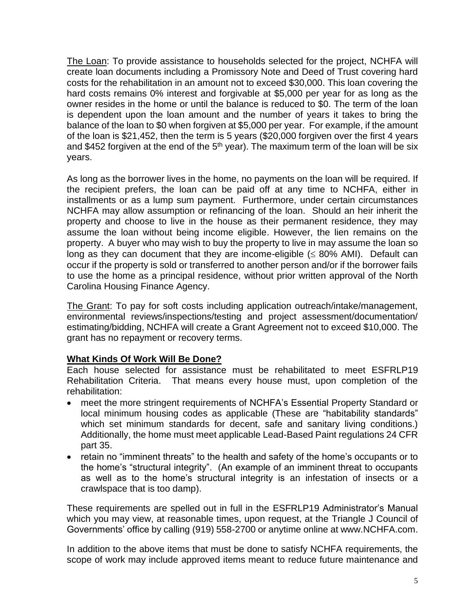The Loan: To provide assistance to households selected for the project, NCHFA will create loan documents including a Promissory Note and Deed of Trust covering hard costs for the rehabilitation in an amount not to exceed \$30,000. This loan covering the hard costs remains 0% interest and forgivable at \$5,000 per year for as long as the owner resides in the home or until the balance is reduced to \$0. The term of the loan is dependent upon the loan amount and the number of years it takes to bring the balance of the loan to \$0 when forgiven at \$5,000 per year. For example, if the amount of the loan is \$21,452, then the term is 5 years (\$20,000 forgiven over the first 4 years and \$452 forgiven at the end of the  $5<sup>th</sup>$  year). The maximum term of the loan will be six years.

As long as the borrower lives in the home, no payments on the loan will be required. If the recipient prefers, the loan can be paid off at any time to NCHFA, either in installments or as a lump sum payment. Furthermore, under certain circumstances NCHFA may allow assumption or refinancing of the loan. Should an heir inherit the property and choose to live in the house as their permanent residence, they may assume the loan without being income eligible. However, the lien remains on the property. A buyer who may wish to buy the property to live in may assume the loan so long as they can document that they are income-eligible  $(\leq 80\%$  AMI). Default can occur if the property is sold or transferred to another person and/or if the borrower fails to use the home as a principal residence, without prior written approval of the North Carolina Housing Finance Agency.

The Grant: To pay for soft costs including application outreach/intake/management, environmental reviews/inspections/testing and project assessment/documentation/ estimating/bidding, NCHFA will create a Grant Agreement not to exceed \$10,000. The grant has no repayment or recovery terms.

## **What Kinds Of Work Will Be Done?**

Each house selected for assistance must be rehabilitated to meet ESFRLP19 Rehabilitation Criteria. That means every house must, upon completion of the rehabilitation:

- meet the more stringent requirements of NCHFA's Essential Property Standard or local minimum housing codes as applicable (These are "habitability standards" which set minimum standards for decent, safe and sanitary living conditions.) Additionally, the home must meet applicable Lead-Based Paint regulations 24 CFR part 35.
- retain no "imminent threats" to the health and safety of the home's occupants or to the home's "structural integrity". (An example of an imminent threat to occupants as well as to the home's structural integrity is an infestation of insects or a crawlspace that is too damp).

These requirements are spelled out in full in the ESFRLP19 Administrator's Manual which you may view, at reasonable times, upon request, at the Triangle J Council of Governments' office by calling (919) 558-2700 or anytime online at www.NCHFA.com.

In addition to the above items that must be done to satisfy NCHFA requirements, the scope of work may include approved items meant to reduce future maintenance and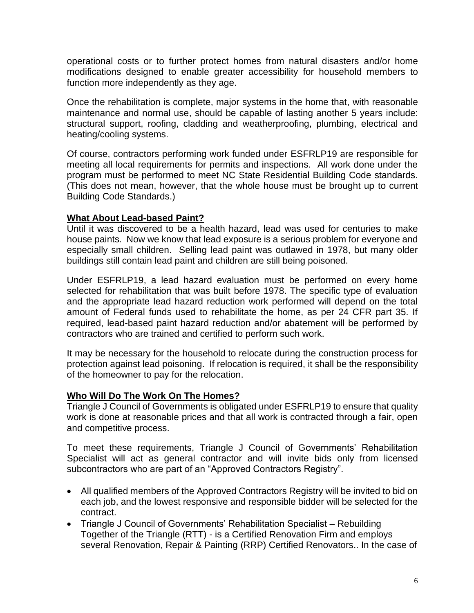operational costs or to further protect homes from natural disasters and/or home modifications designed to enable greater accessibility for household members to function more independently as they age.

Once the rehabilitation is complete, major systems in the home that, with reasonable maintenance and normal use, should be capable of lasting another 5 years include: structural support, roofing, cladding and weatherproofing, plumbing, electrical and heating/cooling systems.

Of course, contractors performing work funded under ESFRLP19 are responsible for meeting all local requirements for permits and inspections. All work done under the program must be performed to meet NC State Residential Building Code standards. (This does not mean, however, that the whole house must be brought up to current Building Code Standards.)

### **What About Lead-based Paint?**

Until it was discovered to be a health hazard, lead was used for centuries to make house paints. Now we know that lead exposure is a serious problem for everyone and especially small children. Selling lead paint was outlawed in 1978, but many older buildings still contain lead paint and children are still being poisoned.

Under ESFRLP19, a lead hazard evaluation must be performed on every home selected for rehabilitation that was built before 1978. The specific type of evaluation and the appropriate lead hazard reduction work performed will depend on the total amount of Federal funds used to rehabilitate the home, as per 24 CFR part 35. If required, lead-based paint hazard reduction and/or abatement will be performed by contractors who are trained and certified to perform such work.

It may be necessary for the household to relocate during the construction process for protection against lead poisoning. If relocation is required, it shall be the responsibility of the homeowner to pay for the relocation.

### **Who Will Do The Work On The Homes?**

Triangle J Council of Governments is obligated under ESFRLP19 to ensure that quality work is done at reasonable prices and that all work is contracted through a fair, open and competitive process.

To meet these requirements, Triangle J Council of Governments' Rehabilitation Specialist will act as general contractor and will invite bids only from licensed subcontractors who are part of an "Approved Contractors Registry".

- All qualified members of the Approved Contractors Registry will be invited to bid on each job, and the lowest responsive and responsible bidder will be selected for the contract.
- Triangle J Council of Governments' Rehabilitation Specialist Rebuilding Together of the Triangle (RTT) - is a Certified Renovation Firm and employs several Renovation, Repair & Painting (RRP) Certified Renovators.. In the case of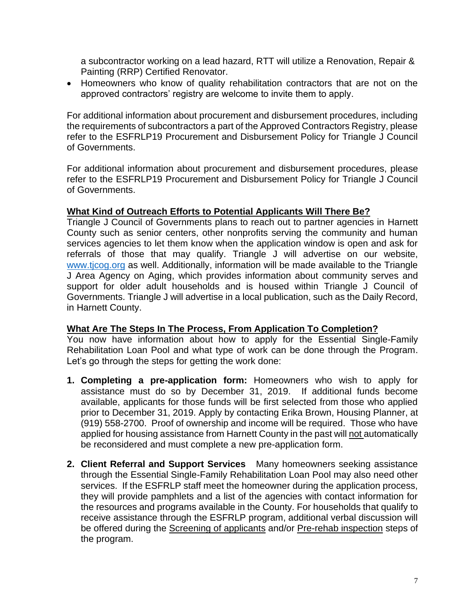a subcontractor working on a lead hazard, RTT will utilize a Renovation, Repair & Painting (RRP) Certified Renovator.

• Homeowners who know of quality rehabilitation contractors that are not on the approved contractors' registry are welcome to invite them to apply.

For additional information about procurement and disbursement procedures, including the requirements of subcontractors a part of the Approved Contractors Registry, please refer to the ESFRLP19 Procurement and Disbursement Policy for Triangle J Council of Governments.

For additional information about procurement and disbursement procedures, please refer to the ESFRLP19 Procurement and Disbursement Policy for Triangle J Council of Governments.

#### **What Kind of Outreach Efforts to Potential Applicants Will There Be?**

Triangle J Council of Governments plans to reach out to partner agencies in Harnett County such as senior centers, other nonprofits serving the community and human services agencies to let them know when the application window is open and ask for referrals of those that may qualify. Triangle J will advertise on our website, [www.tjcog.org](http://www.tjcog.org/) as well. Additionally, information will be made available to the Triangle J Area Agency on Aging, which provides information about community serves and support for older adult households and is housed within Triangle J Council of Governments. Triangle J will advertise in a local publication, such as the Daily Record, in Harnett County.

### **What Are The Steps In The Process, From Application To Completion?**

You now have information about how to apply for the Essential Single-Family Rehabilitation Loan Pool and what type of work can be done through the Program. Let's go through the steps for getting the work done:

- **1. Completing a pre-application form:** Homeowners who wish to apply for assistance must do so by December 31, 2019. If additional funds become available, applicants for those funds will be first selected from those who applied prior to December 31, 2019. Apply by contacting Erika Brown, Housing Planner, at (919) 558-2700. Proof of ownership and income will be required. Those who have applied for housing assistance from Harnett County in the past will not automatically be reconsidered and must complete a new pre-application form.
- **2. Client Referral and Support Services** Many homeowners seeking assistance through the Essential Single-Family Rehabilitation Loan Pool may also need other services. If the ESFRLP staff meet the homeowner during the application process, they will provide pamphlets and a list of the agencies with contact information for the resources and programs available in the County. For households that qualify to receive assistance through the ESFRLP program, additional verbal discussion will be offered during the Screening of applicants and/or Pre-rehab inspection steps of the program.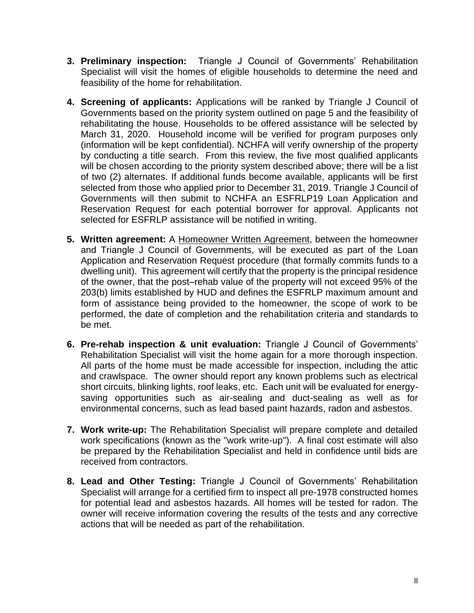- **3. Preliminary inspection:** Triangle J Council of Governments' Rehabilitation Specialist will visit the homes of eligible households to determine the need and feasibility of the home for rehabilitation.
- **4. Screening of applicants:** Applications will be ranked by Triangle J Council of Governments based on the priority system outlined on page 5 and the feasibility of rehabilitating the house. Households to be offered assistance will be selected by March 31, 2020. Household income will be verified for program purposes only (information will be kept confidential). NCHFA will verify ownership of the property by conducting a title search. From this review, the five most qualified applicants will be chosen according to the priority system described above; there will be a list of two (2) alternates. If additional funds become available, applicants will be first selected from those who applied prior to December 31, 2019. Triangle J Council of Governments will then submit to NCHFA an ESFRLP19 Loan Application and Reservation Request for each potential borrower for approval. Applicants not selected for ESFRLP assistance will be notified in writing.
- **5. Written agreement:** A Homeowner Written Agreement, between the homeowner and Triangle J Council of Governments, will be executed as part of the Loan Application and Reservation Request procedure (that formally commits funds to a dwelling unit). This agreement will certify that the property is the principal residence of the owner, that the post–rehab value of the property will not exceed 95% of the 203(b) limits established by HUD and defines the ESFRLP maximum amount and form of assistance being provided to the homeowner, the scope of work to be performed, the date of completion and the rehabilitation criteria and standards to be met.
- **6. Pre-rehab inspection & unit evaluation:** Triangle J Council of Governments' Rehabilitation Specialist will visit the home again for a more thorough inspection. All parts of the home must be made accessible for inspection, including the attic and crawlspace. The owner should report any known problems such as electrical short circuits, blinking lights, roof leaks, etc. Each unit will be evaluated for energysaving opportunities such as air-sealing and duct-sealing as well as for environmental concerns, such as lead based paint hazards, radon and asbestos.
- **7. Work write-up:** The Rehabilitation Specialist will prepare complete and detailed work specifications (known as the "work write-up"). A final cost estimate will also be prepared by the Rehabilitation Specialist and held in confidence until bids are received from contractors.
- **8. Lead and Other Testing:** Triangle J Council of Governments' Rehabilitation Specialist will arrange for a certified firm to inspect all pre-1978 constructed homes for potential lead and asbestos hazards. All homes will be tested for radon. The owner will receive information covering the results of the tests and any corrective actions that will be needed as part of the rehabilitation.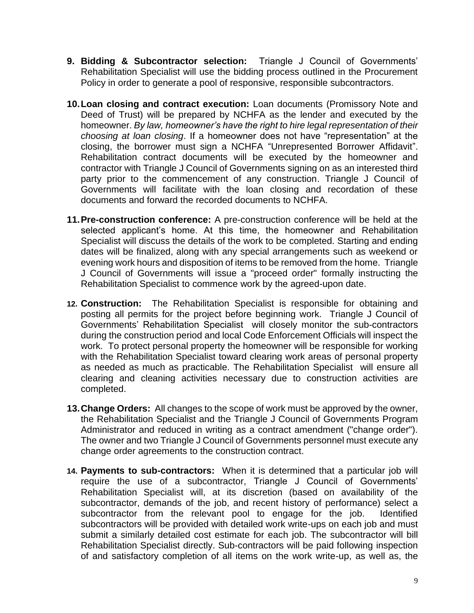- **9. Bidding & Subcontractor selection:** Triangle J Council of Governments' Rehabilitation Specialist will use the bidding process outlined in the Procurement Policy in order to generate a pool of responsive, responsible subcontractors.
- **10.Loan closing and contract execution:** Loan documents (Promissory Note and Deed of Trust) will be prepared by NCHFA as the lender and executed by the homeowner. *By law, homeowner's have the right to hire legal representation of their choosing at loan closing*. If a homeowner does not have "representation" at the closing, the borrower must sign a NCHFA "Unrepresented Borrower Affidavit". Rehabilitation contract documents will be executed by the homeowner and contractor with Triangle J Council of Governments signing on as an interested third party prior to the commencement of any construction. Triangle J Council of Governments will facilitate with the loan closing and recordation of these documents and forward the recorded documents to NCHFA.
- **11.Pre-construction conference:** A pre-construction conference will be held at the selected applicant's home. At this time, the homeowner and Rehabilitation Specialist will discuss the details of the work to be completed. Starting and ending dates will be finalized, along with any special arrangements such as weekend or evening work hours and disposition of items to be removed from the home. Triangle J Council of Governments will issue a "proceed order" formally instructing the Rehabilitation Specialist to commence work by the agreed-upon date.
- **12. Construction:** The Rehabilitation Specialist is responsible for obtaining and posting all permits for the project before beginning work. Triangle J Council of Governments' Rehabilitation Specialist will closely monitor the sub-contractors during the construction period and local Code Enforcement Officials will inspect the work. To protect personal property the homeowner will be responsible for working with the Rehabilitation Specialist toward clearing work areas of personal property as needed as much as practicable. The Rehabilitation Specialist will ensure all clearing and cleaning activities necessary due to construction activities are completed.
- **13.Change Orders:** All changes to the scope of work must be approved by the owner, the Rehabilitation Specialist and the Triangle J Council of Governments Program Administrator and reduced in writing as a contract amendment ("change order"). The owner and two Triangle J Council of Governments personnel must execute any change order agreements to the construction contract.
- **14. Payments to sub-contractors:** When it is determined that a particular job will require the use of a subcontractor, Triangle J Council of Governments' Rehabilitation Specialist will, at its discretion (based on availability of the subcontractor, demands of the job, and recent history of performance) select a subcontractor from the relevant pool to engage for the job. Identified subcontractors will be provided with detailed work write-ups on each job and must submit a similarly detailed cost estimate for each job. The subcontractor will bill Rehabilitation Specialist directly. Sub-contractors will be paid following inspection of and satisfactory completion of all items on the work write-up, as well as, the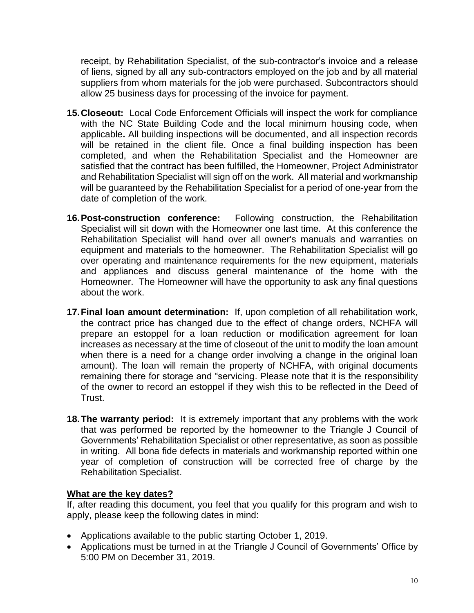receipt, by Rehabilitation Specialist, of the sub-contractor's invoice and a release of liens, signed by all any sub-contractors employed on the job and by all material suppliers from whom materials for the job were purchased. Subcontractors should allow 25 business days for processing of the invoice for payment.

- **15.Closeout:** Local Code Enforcement Officials will inspect the work for compliance with the NC State Building Code and the local minimum housing code, when applicable**.** All building inspections will be documented, and all inspection records will be retained in the client file. Once a final building inspection has been completed, and when the Rehabilitation Specialist and the Homeowner are satisfied that the contract has been fulfilled, the Homeowner, Project Administrator and Rehabilitation Specialist will sign off on the work. All material and workmanship will be guaranteed by the Rehabilitation Specialist for a period of one-year from the date of completion of the work.
- **16.Post-construction conference:** Following construction, the Rehabilitation Specialist will sit down with the Homeowner one last time. At this conference the Rehabilitation Specialist will hand over all owner's manuals and warranties on equipment and materials to the homeowner. The Rehabilitation Specialist will go over operating and maintenance requirements for the new equipment, materials and appliances and discuss general maintenance of the home with the Homeowner. The Homeowner will have the opportunity to ask any final questions about the work.
- **17.Final loan amount determination:** If, upon completion of all rehabilitation work, the contract price has changed due to the effect of change orders, NCHFA will prepare an estoppel for a loan reduction or modification agreement for loan increases as necessary at the time of closeout of the unit to modify the loan amount when there is a need for a change order involving a change in the original loan amount). The loan will remain the property of NCHFA, with original documents remaining there for storage and "servicing. Please note that it is the responsibility of the owner to record an estoppel if they wish this to be reflected in the Deed of Trust.
- **18.The warranty period:** It is extremely important that any problems with the work that was performed be reported by the homeowner to the Triangle J Council of Governments' Rehabilitation Specialist or other representative, as soon as possible in writing. All bona fide defects in materials and workmanship reported within one year of completion of construction will be corrected free of charge by the Rehabilitation Specialist.

## **What are the key dates?**

If, after reading this document, you feel that you qualify for this program and wish to apply, please keep the following dates in mind:

- Applications available to the public starting October 1, 2019.
- Applications must be turned in at the Triangle J Council of Governments' Office by 5:00 PM on December 31, 2019.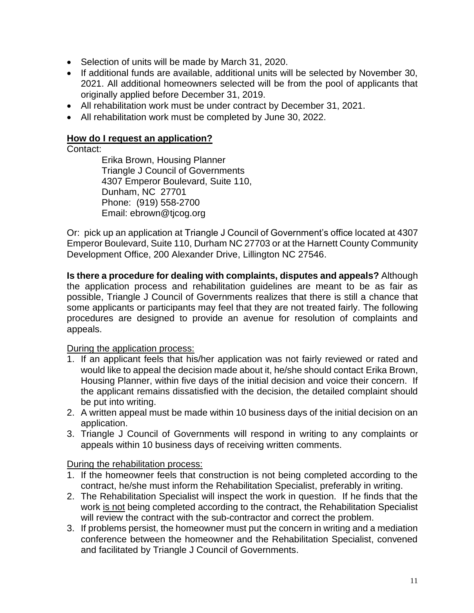- Selection of units will be made by March 31, 2020.
- If additional funds are available, additional units will be selected by November 30, 2021. All additional homeowners selected will be from the pool of applicants that originally applied before December 31, 2019.
- All rehabilitation work must be under contract by December 31, 2021.
- All rehabilitation work must be completed by June 30, 2022.

### **How do I request an application?**

Contact:

Erika Brown, Housing Planner Triangle J Council of Governments 4307 Emperor Boulevard, Suite 110, Dunham, NC 27701 Phone: (919) 558-2700 Email: ebrown@tjcog.org

Or: pick up an application at Triangle J Council of Government's office located at 4307 Emperor Boulevard, Suite 110, Durham NC 27703 or at the Harnett County Community Development Office, 200 Alexander Drive, Lillington NC 27546.

**Is there a procedure for dealing with complaints, disputes and appeals?** Although the application process and rehabilitation guidelines are meant to be as fair as possible, Triangle J Council of Governments realizes that there is still a chance that some applicants or participants may feel that they are not treated fairly. The following procedures are designed to provide an avenue for resolution of complaints and appeals.

During the application process:

- 1. If an applicant feels that his/her application was not fairly reviewed or rated and would like to appeal the decision made about it, he/she should contact Erika Brown, Housing Planner, within five days of the initial decision and voice their concern. If the applicant remains dissatisfied with the decision, the detailed complaint should be put into writing.
- 2. A written appeal must be made within 10 business days of the initial decision on an application.
- 3. Triangle J Council of Governments will respond in writing to any complaints or appeals within 10 business days of receiving written comments.

During the rehabilitation process:

- 1. If the homeowner feels that construction is not being completed according to the contract, he/she must inform the Rehabilitation Specialist, preferably in writing.
- 2. The Rehabilitation Specialist will inspect the work in question. If he finds that the work is not being completed according to the contract, the Rehabilitation Specialist will review the contract with the sub-contractor and correct the problem.
- 3. If problems persist, the homeowner must put the concern in writing and a mediation conference between the homeowner and the Rehabilitation Specialist, convened and facilitated by Triangle J Council of Governments.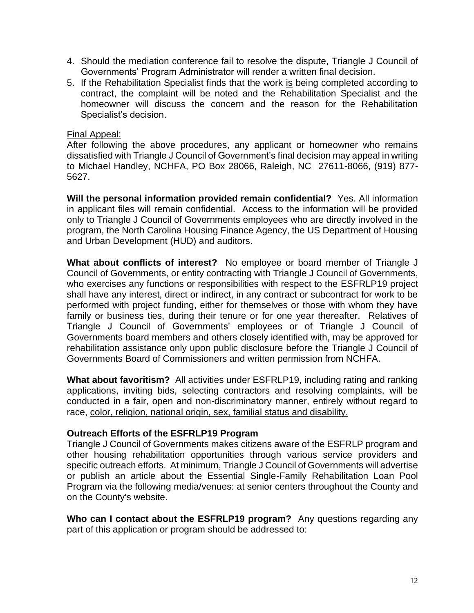- 4. Should the mediation conference fail to resolve the dispute, Triangle J Council of Governments' Program Administrator will render a written final decision.
- 5. If the Rehabilitation Specialist finds that the work is being completed according to contract, the complaint will be noted and the Rehabilitation Specialist and the homeowner will discuss the concern and the reason for the Rehabilitation Specialist's decision.

#### Final Appeal:

After following the above procedures, any applicant or homeowner who remains dissatisfied with Triangle J Council of Government's final decision may appeal in writing to Michael Handley, NCHFA, PO Box 28066, Raleigh, NC 27611-8066, (919) 877- 5627.

**Will the personal information provided remain confidential?** Yes. All information in applicant files will remain confidential. Access to the information will be provided only to Triangle J Council of Governments employees who are directly involved in the program, the North Carolina Housing Finance Agency, the US Department of Housing and Urban Development (HUD) and auditors.

**What about conflicts of interest?** No employee or board member of Triangle J Council of Governments, or entity contracting with Triangle J Council of Governments, who exercises any functions or responsibilities with respect to the ESFRLP19 project shall have any interest, direct or indirect, in any contract or subcontract for work to be performed with project funding, either for themselves or those with whom they have family or business ties, during their tenure or for one year thereafter. Relatives of Triangle J Council of Governments' employees or of Triangle J Council of Governments board members and others closely identified with, may be approved for rehabilitation assistance only upon public disclosure before the Triangle J Council of Governments Board of Commissioners and written permission from NCHFA.

**What about favoritism?** All activities under ESFRLP19, including rating and ranking applications, inviting bids, selecting contractors and resolving complaints, will be conducted in a fair, open and non-discriminatory manner, entirely without regard to race, color, religion, national origin, sex, familial status and disability.

#### **Outreach Efforts of the ESFRLP19 Program**

Triangle J Council of Governments makes citizens aware of the ESFRLP program and other housing rehabilitation opportunities through various service providers and specific outreach efforts. At minimum, Triangle J Council of Governments will advertise or publish an article about the Essential Single-Family Rehabilitation Loan Pool Program via the following media/venues: at senior centers throughout the County and on the County's website.

**Who can I contact about the ESFRLP19 program?** Any questions regarding any part of this application or program should be addressed to: